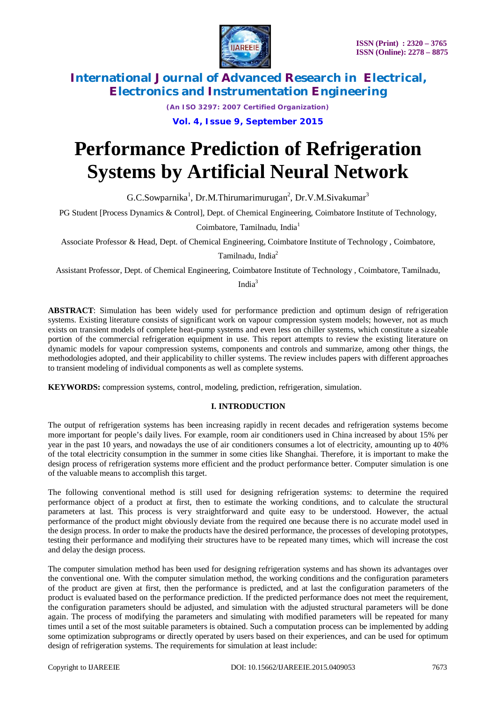

*(An ISO 3297: 2007 Certified Organization)* **Vol. 4, Issue 9, September 2015**

# **Performance Prediction of Refrigeration Systems by Artificial Neural Network**

 $G.C.Sowparnika<sup>1</sup>, Dr.M. Thirumarimurugan<sup>2</sup>, Dr.V.M.Sivakumar<sup>3</sup>$ 

PG Student [Process Dynamics & Control], Dept. of Chemical Engineering, Coimbatore Institute of Technology,

Coimbatore, Tamilnadu, India<sup>1</sup>

Associate Professor & Head, Dept. of Chemical Engineering, Coimbatore Institute of Technology , Coimbatore,

Tamilnadu, India<sup>2</sup>

Assistant Professor, Dept. of Chemical Engineering, Coimbatore Institute of Technology , Coimbatore, Tamilnadu,

India<sup>3</sup>

**ABSTRACT**: Simulation has been widely used for performance prediction and optimum design of refrigeration systems. Existing literature consists of significant work on vapour compression system models; however, not as much exists on transient models of complete heat-pump systems and even less on chiller systems, which constitute a sizeable portion of the commercial refrigeration equipment in use. This report attempts to review the existing literature on dynamic models for vapour compression systems, components and controls and summarize, among other things, the methodologies adopted, and their applicability to chiller systems. The review includes papers with different approaches to transient modeling of individual components as well as complete systems.

**KEYWORDS:** compression systems, control, modeling, prediction, refrigeration, simulation.

### **I. INTRODUCTION**

The output of refrigeration systems has been increasing rapidly in recent decades and refrigeration systems become more important for people's daily lives. For example, room air conditioners used in China increased by about 15% per year in the past 10 years, and nowadays the use of air conditioners consumes a lot of electricity, amounting up to 40% of the total electricity consumption in the summer in some cities like Shanghai. Therefore, it is important to make the design process of refrigeration systems more efficient and the product performance better. Computer simulation is one of the valuable means to accomplish this target.

The following conventional method is still used for designing refrigeration systems: to determine the required performance object of a product at first, then to estimate the working conditions, and to calculate the structural parameters at last. This process is very straightforward and quite easy to be understood. However, the actual performance of the product might obviously deviate from the required one because there is no accurate model used in the design process. In order to make the products have the desired performance, the processes of developing prototypes, testing their performance and modifying their structures have to be repeated many times, which will increase the cost and delay the design process.

The computer simulation method has been used for designing refrigeration systems and has shown its advantages over the conventional one. With the computer simulation method, the working conditions and the configuration parameters of the product are given at first, then the performance is predicted, and at last the configuration parameters of the product is evaluated based on the performance prediction. If the predicted performance does not meet the requirement, the configuration parameters should be adjusted, and simulation with the adjusted structural parameters will be done again. The process of modifying the parameters and simulating with modified parameters will be repeated for many times until a set of the most suitable parameters is obtained. Such a computation process can be implemented by adding some optimization subprograms or directly operated by users based on their experiences, and can be used for optimum design of refrigeration systems. The requirements for simulation at least include: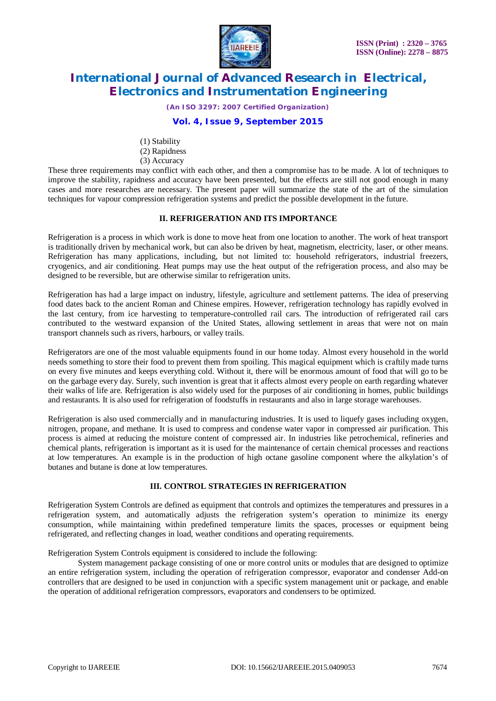

*(An ISO 3297: 2007 Certified Organization)*

### **Vol. 4, Issue 9, September 2015**

- (1) Stability
- (2) Rapidness
- (3) Accuracy

These three requirements may conflict with each other, and then a compromise has to be made. A lot of techniques to improve the stability, rapidness and accuracy have been presented, but the effects are still not good enough in many cases and more researches are necessary. The present paper will summarize the state of the art of the simulation techniques for vapour compression refrigeration systems and predict the possible development in the future.

#### **II. REFRIGERATION AND ITS IMPORTANCE**

Refrigeration is a process in which work is done to move heat from one location to another. The work of heat transport is traditionally driven by mechanical work, but can also be driven by heat, magnetism, electricity, laser, or other means. Refrigeration has many applications, including, but not limited to: household refrigerators, industrial freezers, cryogenics, and air conditioning. Heat pumps may use the heat output of the refrigeration process, and also may be designed to be reversible, but are otherwise similar to refrigeration units.

Refrigeration has had a large impact on industry, lifestyle, agriculture and settlement patterns. The idea of preserving food dates back to the ancient Roman and Chinese empires. However, refrigeration technology has rapidly evolved in the last century, from ice harvesting to temperature-controlled rail cars. The introduction of refrigerated rail cars contributed to the westward expansion of the United States, allowing settlement in areas that were not on main transport channels such as rivers, harbours, or valley trails.

Refrigerators are one of the most valuable equipments found in our home today. Almost every household in the world needs something to store their food to prevent them from spoiling. This magical equipment which is craftily made turns on every five minutes and keeps everything cold. Without it, there will be enormous amount of food that will go to be on the garbage every day. Surely, such invention is great that it affects almost every people on earth regarding whatever their walks of life are. Refrigeration is also widely used for the purposes of air conditioning in homes, public buildings and restaurants. It is also used for refrigeration of foodstuffs in restaurants and also in large storage warehouses.

Refrigeration is also used commercially and in manufacturing industries. It is used to liquefy gases including oxygen, nitrogen, propane, and methane. It is used to compress and condense water vapor in compressed air purification. This process is aimed at reducing the moisture content of compressed air. In industries like petrochemical, refineries and chemical plants, refrigeration is important as it is used for the maintenance of certain chemical processes and reactions at low temperatures. An example is in the production of high octane gasoline component where the alkylation's of butanes and butane is done at low temperatures.

### **III. CONTROL STRATEGIES IN REFRIGERATION**

Refrigeration System Controls are defined as equipment that controls and optimizes the temperatures and pressures in a refrigeration system, and automatically adjusts the refrigeration system's operation to minimize its energy consumption, while maintaining within predefined temperature limits the spaces, processes or equipment being refrigerated, and reflecting changes in load, weather conditions and operating requirements.

Refrigeration System Controls equipment is considered to include the following:

System management package consisting of one or more control units or modules that are designed to optimize an entire refrigeration system, including the operation of refrigeration compressor, evaporator and condenser Add-on controllers that are designed to be used in conjunction with a specific system management unit or package, and enable the operation of additional refrigeration compressors, evaporators and condensers to be optimized.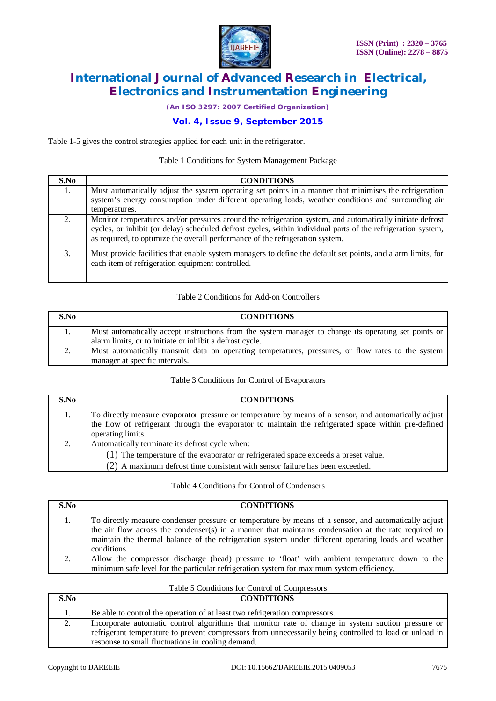

*(An ISO 3297: 2007 Certified Organization)*

# **Vol. 4, Issue 9, September 2015**

Table 1-5 gives the control strategies applied for each unit in the refrigerator.

#### Table 1 Conditions for System Management Package

| S.No | <b>CONDITIONS</b>                                                                                                                                                                                                                                                                                          |
|------|------------------------------------------------------------------------------------------------------------------------------------------------------------------------------------------------------------------------------------------------------------------------------------------------------------|
| 1.   | Must automatically adjust the system operating set points in a manner that minimises the refrigeration<br>system's energy consumption under different operating loads, weather conditions and surrounding air<br>temperatures.                                                                             |
|      | Monitor temperatures and/or pressures around the refrigeration system, and automatically initiate defrost<br>cycles, or inhibit (or delay) scheduled defrost cycles, within individual parts of the refrigeration system,<br>as required, to optimize the overall performance of the refrigeration system. |
| 3.   | Must provide facilities that enable system managers to define the default set points, and alarm limits, for<br>each item of refrigeration equipment controlled.                                                                                                                                            |

#### Table 2 Conditions for Add-on Controllers

| S.No | <b>CONDITIONS</b>                                                                                                                                                |
|------|------------------------------------------------------------------------------------------------------------------------------------------------------------------|
|      | Must automatically accept instructions from the system manager to change its operating set points or<br>alarm limits, or to initiate or inhibit a defrost cycle. |
|      | Must automatically transmit data on operating temperatures, pressures, or flow rates to the system<br>manager at specific intervals.                             |

#### Table 3 Conditions for Control of Evaporators

| S.No | <b>CONDITIONS</b>                                                                                                                                                                                                                  |
|------|------------------------------------------------------------------------------------------------------------------------------------------------------------------------------------------------------------------------------------|
| 1.   | To directly measure evaporator pressure or temperature by means of a sensor, and automatically adjust<br>the flow of refrigerant through the evaporator to maintain the refrigerated space within pre-defined<br>operating limits. |
| 2.   | Automatically terminate its defrost cycle when:<br>(1) The temperature of the evaporator or refrigerated space exceeds a preset value.<br>(2) A maximum defrost time consistent with sensor failure has been exceeded.             |

#### Table 4 Conditions for Control of Condensers

| S.No | <b>CONDITIONS</b>                                                                                                                                                                                            |
|------|--------------------------------------------------------------------------------------------------------------------------------------------------------------------------------------------------------------|
| 1.   | To directly measure condenser pressure or temperature by means of a sensor, and automatically adjust<br>the air flow across the condenser(s) in a manner that maintains condensation at the rate required to |
|      | maintain the thermal balance of the refrigeration system under different operating loads and weather<br>conditions.                                                                                          |
| 2.   | Allow the compressor discharge (head) pressure to 'float' with ambient temperature down to the<br>minimum safe level for the particular refrigeration system for maximum system efficiency.                  |

#### Table 5 Conditions for Control of Compressors

| S.No | <b>CONDITIONS</b>                                                                                                                                                                                                                                                  |
|------|--------------------------------------------------------------------------------------------------------------------------------------------------------------------------------------------------------------------------------------------------------------------|
|      | Be able to control the operation of at least two refrigeration compressors.                                                                                                                                                                                        |
|      | Incorporate automatic control algorithms that monitor rate of change in system suction pressure or<br>refrigerant temperature to prevent compressors from unnecessarily being controlled to load or unload in<br>response to small fluctuations in cooling demand. |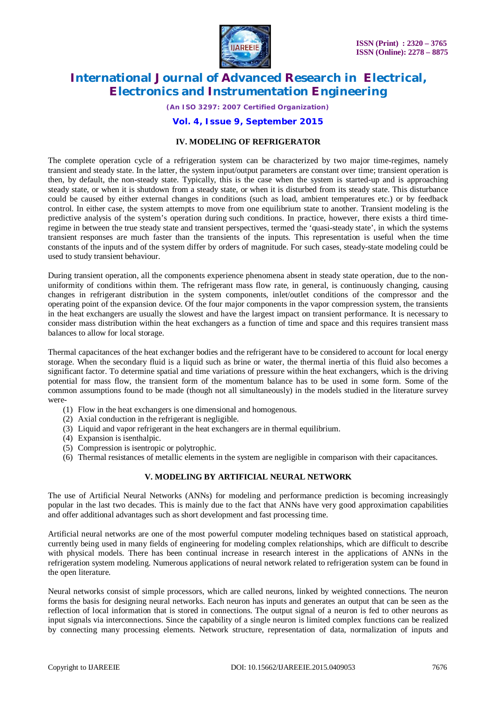

*(An ISO 3297: 2007 Certified Organization)*

#### **Vol. 4, Issue 9, September 2015**

#### **IV. MODELING OF REFRIGERATOR**

The complete operation cycle of a refrigeration system can be characterized by two major time-regimes, namely transient and steady state. In the latter, the system input/output parameters are constant over time; transient operation is then, by default, the non-steady state. Typically, this is the case when the system is started-up and is approaching steady state, or when it is shutdown from a steady state, or when it is disturbed from its steady state. This disturbance could be caused by either external changes in conditions (such as load, ambient temperatures etc.) or by feedback control. In either case, the system attempts to move from one equilibrium state to another. Transient modeling is the predictive analysis of the system's operation during such conditions. In practice, however, there exists a third timeregime in between the true steady state and transient perspectives, termed the 'quasi-steady state', in which the systems transient responses are much faster than the transients of the inputs. This representation is useful when the time constants of the inputs and of the system differ by orders of magnitude. For such cases, steady-state modeling could be used to study transient behaviour.

During transient operation, all the components experience phenomena absent in steady state operation, due to the nonuniformity of conditions within them. The refrigerant mass flow rate, in general, is continuously changing, causing changes in refrigerant distribution in the system components, inlet/outlet conditions of the compressor and the operating point of the expansion device. Of the four major components in the vapor compression system, the transients in the heat exchangers are usually the slowest and have the largest impact on transient performance. It is necessary to consider mass distribution within the heat exchangers as a function of time and space and this requires transient mass balances to allow for local storage.

Thermal capacitances of the heat exchanger bodies and the refrigerant have to be considered to account for local energy storage. When the secondary fluid is a liquid such as brine or water, the thermal inertia of this fluid also becomes a significant factor. To determine spatial and time variations of pressure within the heat exchangers, which is the driving potential for mass flow, the transient form of the momentum balance has to be used in some form. Some of the common assumptions found to be made (though not all simultaneously) in the models studied in the literature survey were-

- (1) Flow in the heat exchangers is one dimensional and homogenous.
- (2) Axial conduction in the refrigerant is negligible.
- (3) Liquid and vapor refrigerant in the heat exchangers are in thermal equilibrium.
- (4) Expansion is isenthalpic.
- (5) Compression is isentropic or polytrophic.
- (6) Thermal resistances of metallic elements in the system are negligible in comparison with their capacitances.

#### **V. MODELING BY ARTIFICIAL NEURAL NETWORK**

The use of Artificial Neural Networks (ANNs) for modeling and performance prediction is becoming increasingly popular in the last two decades. This is mainly due to the fact that ANNs have very good approximation capabilities and offer additional advantages such as short development and fast processing time.

Artificial neural networks are one of the most powerful computer modeling techniques based on statistical approach, currently being used in many fields of engineering for modeling complex relationships, which are difficult to describe with physical models. There has been continual increase in research interest in the applications of ANNs in the refrigeration system modeling. Numerous applications of neural network related to refrigeration system can be found in the open literature.

Neural networks consist of simple processors, which are called neurons, linked by weighted connections. The neuron forms the basis for designing neural networks. Each neuron has inputs and generates an output that can be seen as the reflection of local information that is stored in connections. The output signal of a neuron is fed to other neurons as input signals via interconnections. Since the capability of a single neuron is limited complex functions can be realized by connecting many processing elements. Network structure, representation of data, normalization of inputs and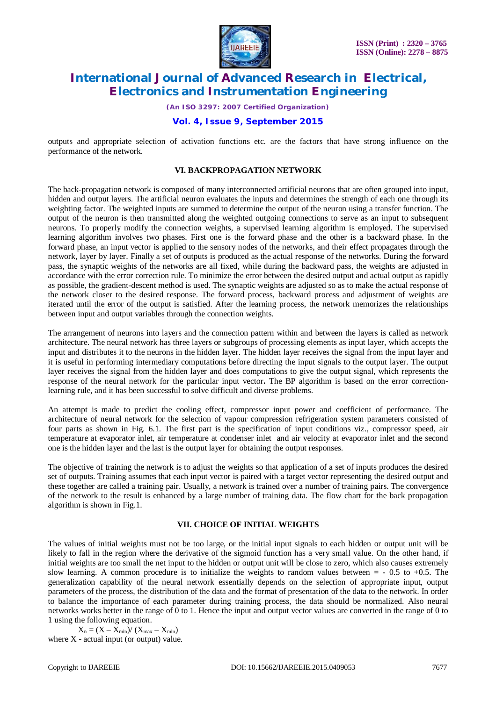

*(An ISO 3297: 2007 Certified Organization)*

### **Vol. 4, Issue 9, September 2015**

outputs and appropriate selection of activation functions etc. are the factors that have strong influence on the performance of the network.

#### **VI. BACKPROPAGATION NETWORK**

The back-propagation network is composed of many interconnected artificial neurons that are often grouped into input, hidden and output layers. The artificial neuron evaluates the inputs and determines the strength of each one through its weighting factor. The weighted inputs are summed to determine the output of the neuron using a transfer function. The output of the neuron is then transmitted along the weighted outgoing connections to serve as an input to subsequent neurons. To properly modify the connection weights, a supervised learning algorithm is employed. The supervised learning algorithm involves two phases. First one is the forward phase and the other is a backward phase. In the forward phase, an input vector is applied to the sensory nodes of the networks, and their effect propagates through the network, layer by layer. Finally a set of outputs is produced as the actual response of the networks. During the forward pass, the synaptic weights of the networks are all fixed, while during the backward pass, the weights are adjusted in accordance with the error correction rule. To minimize the error between the desired output and actual output as rapidly as possible, the gradient-descent method is used. The synaptic weights are adjusted so as to make the actual response of the network closer to the desired response. The forward process, backward process and adjustment of weights are iterated until the error of the output is satisfied. After the learning process, the network memorizes the relationships between input and output variables through the connection weights.

The arrangement of neurons into layers and the connection pattern within and between the layers is called as network architecture. The neural network has three layers or subgroups of processing elements as input layer, which accepts the input and distributes it to the neurons in the hidden layer. The hidden layer receives the signal from the input layer and it is useful in performing intermediary computations before directing the input signals to the output layer. The output layer receives the signal from the hidden layer and does computations to give the output signal, which represents the response of the neural network for the particular input vector**.** The BP algorithm is based on the error correctionlearning rule, and it has been successful to solve difficult and diverse problems.

An attempt is made to predict the cooling effect, compressor input power and coefficient of performance. The architecture of neural network for the selection of vapour compression refrigeration system parameters consisted of four parts as shown in Fig. 6.1. The first part is the specification of input conditions viz., compressor speed, air temperature at evaporator inlet, air temperature at condenser inlet and air velocity at evaporator inlet and the second one is the hidden layer and the last is the output layer for obtaining the output responses.

The objective of training the network is to adjust the weights so that application of a set of inputs produces the desired set of outputs. Training assumes that each input vector is paired with a target vector representing the desired output and these together are called a training pair. Usually, a network is trained over a number of training pairs. The convergence of the network to the result is enhanced by a large number of training data. The flow chart for the back propagation algorithm is shown in Fig.1.

### **VII. CHOICE OF INITIAL WEIGHTS**

The values of initial weights must not be too large, or the initial input signals to each hidden or output unit will be likely to fall in the region where the derivative of the sigmoid function has a very small value. On the other hand, if initial weights are too small the net input to the hidden or output unit will be close to zero, which also causes extremely slow learning. A common procedure is to initialize the weights to random values between  $= -0.5$  to  $+0.5$ . The generalization capability of the neural network essentially depends on the selection of appropriate input, output parameters of the process, the distribution of the data and the format of presentation of the data to the network. In order to balance the importance of each parameter during training process, the data should be normalized. Also neural networks works better in the range of 0 to 1. Hence the input and output vector values are converted in the range of 0 to 1 using the following equation.

 $X_n = (X - X_{min})/(X_{max} - X_{min})$ where  $X$  - actual input (or output) value.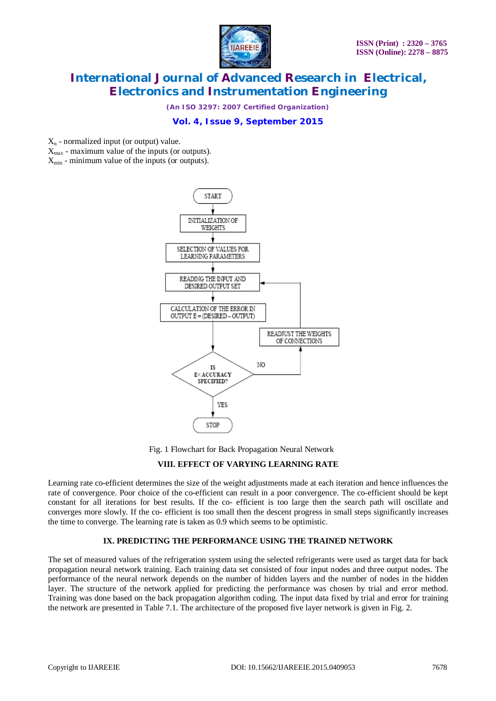

*(An ISO 3297: 2007 Certified Organization)*

## **Vol. 4, Issue 9, September 2015**

 $X_n$  - normalized input (or output) value.

 $X_{\text{max}}$  - maximum value of the inputs (or outputs).

 $X_{\min}$  - minimum value of the inputs (or outputs).



Fig. 1 Flowchart for Back Propagation Neural Network

#### **VIII. EFFECT OF VARYING LEARNING RATE**

Learning rate co-efficient determines the size of the weight adjustments made at each iteration and hence influences the rate of convergence. Poor choice of the co-efficient can result in a poor convergence. The co-efficient should be kept constant for all iterations for best results. If the co- efficient is too large then the search path will oscillate and converges more slowly. If the co- efficient is too small then the descent progress in small steps significantly increases the time to converge. The learning rate is taken as 0.9 which seems to be optimistic.

### **IX. PREDICTING THE PERFORMANCE USING THE TRAINED NETWORK**

The set of measured values of the refrigeration system using the selected refrigerants were used as target data for back propagation neural network training. Each training data set consisted of four input nodes and three output nodes. The performance of the neural network depends on the number of hidden layers and the number of nodes in the hidden layer. The structure of the network applied for predicting the performance was chosen by trial and error method. Training was done based on the back propagation algorithm coding. The input data fixed by trial and error for training the network are presented in Table 7.1. The architecture of the proposed five layer network is given in Fig. 2.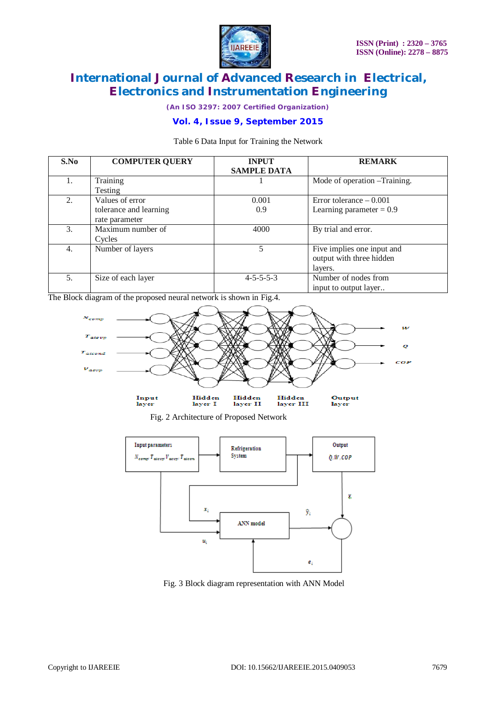

*(An ISO 3297: 2007 Certified Organization)*

# **Vol. 4, Issue 9, September 2015**

Table 6 Data Input for Training the Network

| S.No | <b>COMPUTER QUERY</b>  | <b>INPUT</b><br><b>SAMPLE DATA</b> | <b>REMARK</b>                 |
|------|------------------------|------------------------------------|-------------------------------|
|      |                        |                                    |                               |
| 1.   | Training               |                                    | Mode of operation – Training. |
|      | Testing                |                                    |                               |
| 2.   | Values of error        | 0.001                              | Error tolerance $-0.001$      |
|      | tolerance and learning | 0.9                                | Learning parameter = $0.9$    |
|      | rate parameter         |                                    |                               |
| 3.   | Maximum number of      | 4000                               | By trial and error.           |
|      | Cycles                 |                                    |                               |
| 4.   | Number of layers       | 5.                                 | Five implies one input and    |
|      |                        |                                    | output with three hidden      |
|      |                        |                                    | layers.                       |
| 5.   | Size of each layer     | $4 - 5 - 5 - 5 - 3$                | Number of nodes from          |
|      |                        |                                    | input to output layer         |

The Block diagram of the proposed neural network is shown in Fig.4.



Fig. 2 Architecture of Proposed Network



Fig. 3 Block diagram representation with ANN Model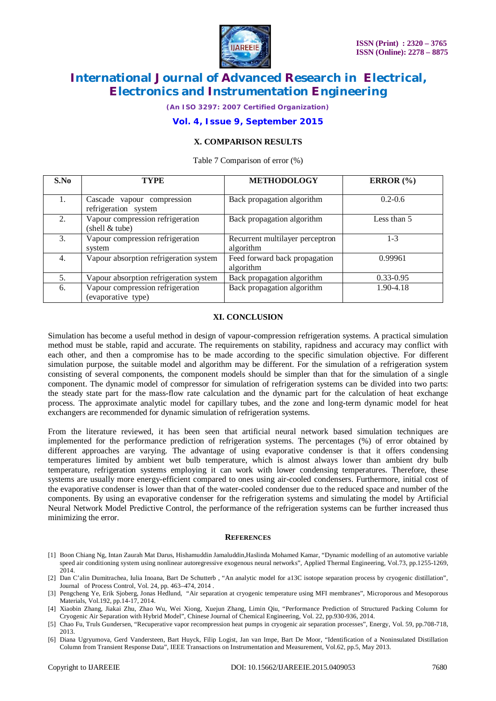

*(An ISO 3297: 2007 Certified Organization)*

#### **Vol. 4, Issue 9, September 2015**

### **X. COMPARISON RESULTS**

Table 7 Comparison of error (%)

| S.No | TYPE                                                   | <b>METHODOLOGY</b>                           | ERROR $(\% )$ |
|------|--------------------------------------------------------|----------------------------------------------|---------------|
|      | Cascade vapour compression<br>refrigeration system     | Back propagation algorithm                   | $0.2 - 0.6$   |
| 2.   | Vapour compression refrigeration<br>(shell & tube)     | Back propagation algorithm                   | Less than 5   |
| 3.   | Vapour compression refrigeration<br>system             | Recurrent multilayer perceptron<br>algorithm | $1 - 3$       |
| 4.   | Vapour absorption refrigeration system                 | Feed forward back propagation<br>algorithm   | 0.99961       |
| 5.   | Vapour absorption refrigeration system                 | Back propagation algorithm                   | $0.33 - 0.95$ |
| 6.   | Vapour compression refrigeration<br>(evaporative type) | Back propagation algorithm                   | 1.90-4.18     |

#### **XI. CONCLUSION**

Simulation has become a useful method in design of vapour-compression refrigeration systems. A practical simulation method must be stable, rapid and accurate. The requirements on stability, rapidness and accuracy may conflict with each other, and then a compromise has to be made according to the specific simulation objective. For different simulation purpose, the suitable model and algorithm may be different. For the simulation of a refrigeration system consisting of several components, the component models should be simpler than that for the simulation of a single component. The dynamic model of compressor for simulation of refrigeration systems can be divided into two parts: the steady state part for the mass-flow rate calculation and the dynamic part for the calculation of heat exchange process. The approximate analytic model for capillary tubes, and the zone and long-term dynamic model for heat exchangers are recommended for dynamic simulation of refrigeration systems.

From the literature reviewed, it has been seen that artificial neural network based simulation techniques are implemented for the performance prediction of refrigeration systems. The percentages (%) of error obtained by different approaches are varying. The advantage of using evaporative condenser is that it offers condensing temperatures limited by ambient wet bulb temperature, which is almost always lower than ambient dry bulb temperature, refrigeration systems employing it can work with lower condensing temperatures. Therefore, these systems are usually more energy-efficient compared to ones using air-cooled condensers. Furthermore, initial cost of the evaporative condenser is lower than that of the water-cooled condenser due to the reduced space and number of the components. By using an evaporative condenser for the refrigeration systems and simulating the model by Artificial Neural Network Model Predictive Control, the performance of the refrigeration systems can be further increased thus minimizing the error.

#### **REFERENCES**

- [1] Boon Chiang Ng, Intan Zaurah Mat Darus, Hishamuddin Jamaluddin,Haslinda Mohamed Kamar, "Dynamic modelling of an automotive variable speed air conditioning system using nonlinear autoregressive exogenous neural networks", Applied Thermal Engineering, Vol.73, pp.1255-1269, 2014.
- [2] Dan C'alin Dumitrachea, Iulia Inoana, Bart De Schutterb , "An analytic model for a13C isotope separation process by cryogenic distillation", Journal of Process Control, Vol. 24, pp. 463–474, 2014 .
- [3] Pengcheng Ye, Erik Sjoberg, Jonas Hedlund, "Air separation at cryogenic temperature using MFI membranes", Microporous and Mesoporous Materials, Vol.192, pp.14-17, 2014.
- [4] Xiaobin Zhang, Jiakai Zhu, Zhao Wu, Wei Xiong, Xuejun Zhang, Limin Qiu, "Performance Prediction of Structured Packing Column for Cryogenic Air Separation with Hybrid Model", Chinese Journal of Chemical Engineering, Vol. 22, pp.930-936, 2014.
- [5] Chao Fu, Truls Gundersen, "Recuperative vapor recompression heat pumps in cryogenic air separation processes", Energy, Vol. 59, pp.708-718, 2013.
- [6] Diana Ugryumova, Gerd Vandersteen, Bart Huyck, Filip Logist, Jan van Impe, Bart De Moor, "Identification of a Noninsulated Distillation Column from Transient Response Data", IEEE Transactions on Instrumentation and Measurement, Vol.62, pp.5, May 2013.